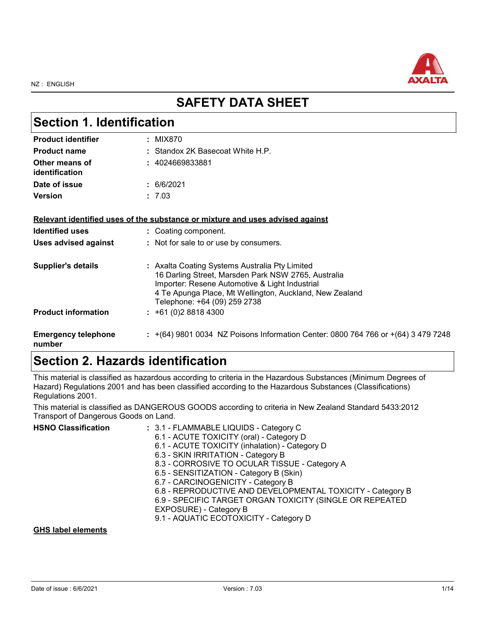

## **SAFETY DATA SHEET**

| <b>Section 1. Identification</b>     |                                                                                                                                                                                                                                                    |  |
|--------------------------------------|----------------------------------------------------------------------------------------------------------------------------------------------------------------------------------------------------------------------------------------------------|--|
| <b>Product identifier</b>            | : MIX870                                                                                                                                                                                                                                           |  |
| <b>Product name</b>                  | : Standox 2K Basecoat White H.P.                                                                                                                                                                                                                   |  |
| Other means of<br>identification     | : 4024669833881                                                                                                                                                                                                                                    |  |
| Date of issue                        | : 6/6/2021                                                                                                                                                                                                                                         |  |
| <b>Version</b>                       | : 7.03                                                                                                                                                                                                                                             |  |
|                                      | Relevant identified uses of the substance or mixture and uses advised against                                                                                                                                                                      |  |
| <b>Identified uses</b>               | : Coating component.                                                                                                                                                                                                                               |  |
| <b>Uses advised against</b>          | : Not for sale to or use by consumers.                                                                                                                                                                                                             |  |
| <b>Supplier's details</b>            | : Axalta Coating Systems Australia Pty Limited<br>16 Darling Street, Marsden Park NSW 2765, Australia<br>Importer: Resene Automotive & Light Industrial<br>4 Te Apunga Place, Mt Wellington, Auckland, New Zealand<br>Telephone: +64 (09) 259 2738 |  |
| <b>Product information</b>           | $: +61(0)288184300$                                                                                                                                                                                                                                |  |
| <b>Emergency telephone</b><br>number | : $+(64)$ 9801 0034 NZ Poisons Information Center: 0800 764 766 or $+(64)$ 3 479 7248                                                                                                                                                              |  |

## **Section 2. Hazards identification**

This material is classified as hazardous according to criteria in the Hazardous Substances (Minimum Degrees of Hazard) Regulations 2001 and has been classified according to the Hazardous Substances (Classifications) Regulations 2001.

This material is classified as DANGEROUS GOODS according to criteria in New Zealand Standard 5433:2012 Transport of Dangerous Goods on Land.

| <b>HSNO Classification</b> | : 3.1 - FLAMMABLE LIQUIDS - Category C<br>6.1 - ACUTE TOXICITY (oral) - Category D<br>6.1 - ACUTE TOXICITY (inhalation) - Category D<br>6.3 - SKIN IRRITATION - Category B<br>8.3 - CORROSIVE TO OCULAR TISSUE - Category A<br>6.5 - SENSITIZATION - Category B (Skin)<br>6.7 - CARCINOGENICITY - Category B<br>6.8 - REPRODUCTIVE AND DEVELOPMENTAL TOXICITY - Category B<br>6.9 - SPECIFIC TARGET ORGAN TOXICITY (SINGLE OR REPEATED<br>EXPOSURE) - Category B |
|----------------------------|------------------------------------------------------------------------------------------------------------------------------------------------------------------------------------------------------------------------------------------------------------------------------------------------------------------------------------------------------------------------------------------------------------------------------------------------------------------|
|                            | 9.1 - AQUATIC ECOTOXICITY - Category D                                                                                                                                                                                                                                                                                                                                                                                                                           |

#### **GHS label elements**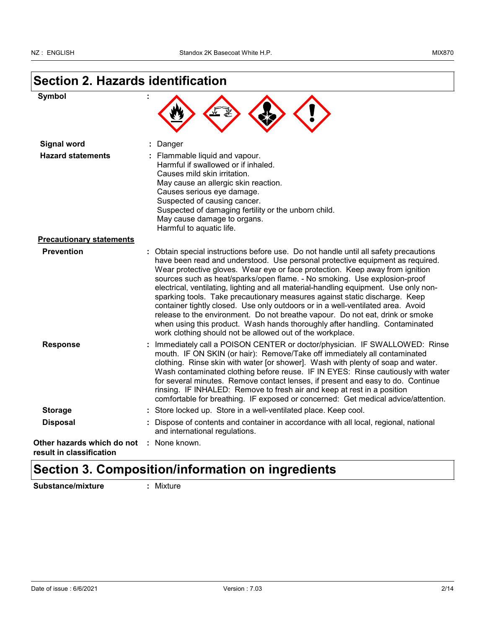### **Section 2. Hazards identification**

| vmpo |
|------|
|------|

| Symbol                          |                                                                                                                                                                                                                                                                                                                                                                                                                                                                                                                                                                                                                                                                                                                                                                                                                          |
|---------------------------------|--------------------------------------------------------------------------------------------------------------------------------------------------------------------------------------------------------------------------------------------------------------------------------------------------------------------------------------------------------------------------------------------------------------------------------------------------------------------------------------------------------------------------------------------------------------------------------------------------------------------------------------------------------------------------------------------------------------------------------------------------------------------------------------------------------------------------|
| <b>Signal word</b>              | : Danger                                                                                                                                                                                                                                                                                                                                                                                                                                                                                                                                                                                                                                                                                                                                                                                                                 |
| <b>Hazard statements</b>        | : Flammable liquid and vapour.<br>Harmful if swallowed or if inhaled.<br>Causes mild skin irritation.<br>May cause an allergic skin reaction.<br>Causes serious eye damage.<br>Suspected of causing cancer.<br>Suspected of damaging fertility or the unborn child.<br>May cause damage to organs.<br>Harmful to aquatic life.                                                                                                                                                                                                                                                                                                                                                                                                                                                                                           |
| <b>Precautionary statements</b> |                                                                                                                                                                                                                                                                                                                                                                                                                                                                                                                                                                                                                                                                                                                                                                                                                          |
| <b>Prevention</b>               | : Obtain special instructions before use. Do not handle until all safety precautions<br>have been read and understood. Use personal protective equipment as required.<br>Wear protective gloves. Wear eye or face protection. Keep away from ignition<br>sources such as heat/sparks/open flame. - No smoking. Use explosion-proof<br>electrical, ventilating, lighting and all material-handling equipment. Use only non-<br>sparking tools. Take precautionary measures against static discharge. Keep<br>container tightly closed. Use only outdoors or in a well-ventilated area. Avoid<br>release to the environment. Do not breathe vapour. Do not eat, drink or smoke<br>when using this product. Wash hands thoroughly after handling. Contaminated<br>work clothing should not be allowed out of the workplace. |
|                                 | <b>Lesson Bottless II. COLOQUE OF NTED Section Colour Colour Of OWNER</b>                                                                                                                                                                                                                                                                                                                                                                                                                                                                                                                                                                                                                                                                                                                                                |

**Response :** Immediately call a POISON CENTER or doctor/physician. IF SWALLOWED: Rinse mouth. IF ON SKIN (or hair): Remove/Take off immediately all contaminated clothing. Rinse skin with water [or shower]. Wash with plenty of soap and water. Wash contaminated clothing before reuse. IF IN EYES: Rinse cautiously with water for several minutes. Remove contact lenses, if present and easy to do. Continue rinsing. IF INHALED: Remove to fresh air and keep at rest in a position comfortable for breathing. IF exposed or concerned: Get medical advice/attention. **Storage :** Store locked up. Store in a well-ventilated place. Keep cool. **Disposal :** Dispose of contents and container in accordance with all local, regional, national and international regulations.

**Other hazards which do not :** None known. **result in classification**

## **Section 3. Composition/information on ingredients**

**Substance/mixture :** Mixture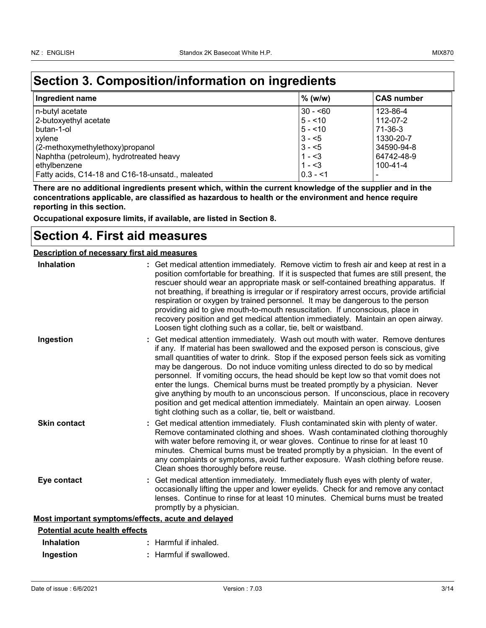## **Section 3. Composition/information on ingredients**

| Ingredient name                                  | $%$ (w/w)   | <b>CAS number</b> |
|--------------------------------------------------|-------------|-------------------|
| n-butyl acetate                                  | 30 - <60    | 123-86-4          |
| 2-butoxyethyl acetate                            | $5 - 10$    | 112-07-2          |
| l butan-1-ol                                     | $5 - 10$    | 71-36-3           |
| xylene                                           | $3 - 5$     | 1330-20-7         |
| (2-methoxymethylethoxy)propanol                  | $3 - 5$     | 34590-94-8        |
| Naphtha (petroleum), hydrotreated heavy          | $1 - 3$     | 64742-48-9        |
| ethylbenzene                                     | $1 - 3$     | 100-41-4          |
| Fatty acids, C14-18 and C16-18-unsatd., maleated | $ 0.3 - 51$ |                   |

**There are no additional ingredients present which, within the current knowledge of the supplier and in the concentrations applicable, are classified as hazardous to health or the environment and hence require reporting in this section.**

**Occupational exposure limits, if available, are listed in Section 8.**

### **Section 4. First aid measures**

#### **Description of necessary first aid measures**

| <b>Inhalation</b>                                  | : Get medical attention immediately. Remove victim to fresh air and keep at rest in a<br>position comfortable for breathing. If it is suspected that fumes are still present, the<br>rescuer should wear an appropriate mask or self-contained breathing apparatus. If<br>not breathing, if breathing is irregular or if respiratory arrest occurs, provide artificial<br>respiration or oxygen by trained personnel. It may be dangerous to the person<br>providing aid to give mouth-to-mouth resuscitation. If unconscious, place in<br>recovery position and get medical attention immediately. Maintain an open airway.<br>Loosen tight clothing such as a collar, tie, belt or waistband.                                                          |
|----------------------------------------------------|----------------------------------------------------------------------------------------------------------------------------------------------------------------------------------------------------------------------------------------------------------------------------------------------------------------------------------------------------------------------------------------------------------------------------------------------------------------------------------------------------------------------------------------------------------------------------------------------------------------------------------------------------------------------------------------------------------------------------------------------------------|
| Ingestion                                          | : Get medical attention immediately. Wash out mouth with water. Remove dentures<br>if any. If material has been swallowed and the exposed person is conscious, give<br>small quantities of water to drink. Stop if the exposed person feels sick as vomiting<br>may be dangerous. Do not induce vomiting unless directed to do so by medical<br>personnel. If vomiting occurs, the head should be kept low so that vomit does not<br>enter the lungs. Chemical burns must be treated promptly by a physician. Never<br>give anything by mouth to an unconscious person. If unconscious, place in recovery<br>position and get medical attention immediately. Maintain an open airway. Loosen<br>tight clothing such as a collar, tie, belt or waistband. |
| <b>Skin contact</b>                                | : Get medical attention immediately. Flush contaminated skin with plenty of water.<br>Remove contaminated clothing and shoes. Wash contaminated clothing thoroughly<br>with water before removing it, or wear gloves. Continue to rinse for at least 10<br>minutes. Chemical burns must be treated promptly by a physician. In the event of<br>any complaints or symptoms, avoid further exposure. Wash clothing before reuse.<br>Clean shoes thoroughly before reuse.                                                                                                                                                                                                                                                                                   |
| Eye contact                                        | : Get medical attention immediately. Immediately flush eyes with plenty of water,<br>occasionally lifting the upper and lower eyelids. Check for and remove any contact<br>lenses. Continue to rinse for at least 10 minutes. Chemical burns must be treated<br>promptly by a physician.                                                                                                                                                                                                                                                                                                                                                                                                                                                                 |
| Most important symptoms/effects, acute and delayed |                                                                                                                                                                                                                                                                                                                                                                                                                                                                                                                                                                                                                                                                                                                                                          |
| <b>Potential acute health effects</b>              |                                                                                                                                                                                                                                                                                                                                                                                                                                                                                                                                                                                                                                                                                                                                                          |
| Inhalation                                         | Harmful if inhaled.                                                                                                                                                                                                                                                                                                                                                                                                                                                                                                                                                                                                                                                                                                                                      |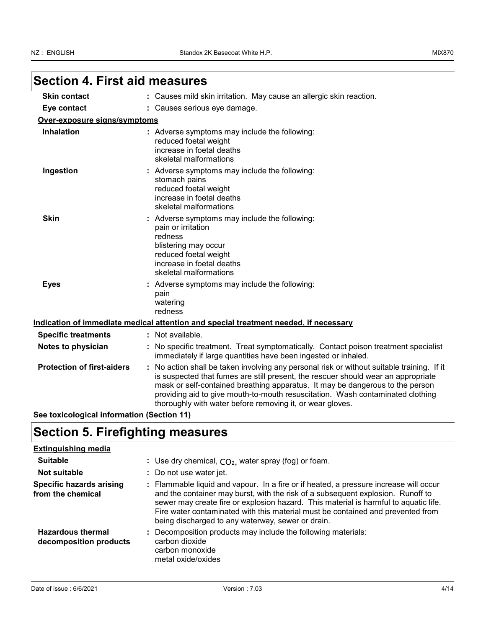| <b>Skin contact</b>               | : Causes mild skin irritation. May cause an allergic skin reaction.                                                                                                                                                                                                                                                                                                                                             |
|-----------------------------------|-----------------------------------------------------------------------------------------------------------------------------------------------------------------------------------------------------------------------------------------------------------------------------------------------------------------------------------------------------------------------------------------------------------------|
| Eye contact                       | : Causes serious eye damage.                                                                                                                                                                                                                                                                                                                                                                                    |
| Over-exposure signs/symptoms      |                                                                                                                                                                                                                                                                                                                                                                                                                 |
| Inhalation                        | : Adverse symptoms may include the following:<br>reduced foetal weight<br>increase in foetal deaths<br>skeletal malformations                                                                                                                                                                                                                                                                                   |
| Ingestion                         | : Adverse symptoms may include the following:<br>stomach pains<br>reduced foetal weight<br>increase in foetal deaths<br>skeletal malformations                                                                                                                                                                                                                                                                  |
| <b>Skin</b>                       | : Adverse symptoms may include the following:<br>pain or irritation<br>redness<br>blistering may occur<br>reduced foetal weight<br>increase in foetal deaths<br>skeletal malformations                                                                                                                                                                                                                          |
| <b>Eyes</b>                       | : Adverse symptoms may include the following:<br>pain<br>watering<br>redness                                                                                                                                                                                                                                                                                                                                    |
|                                   | Indication of immediate medical attention and special treatment needed, if necessary                                                                                                                                                                                                                                                                                                                            |
| <b>Specific treatments</b>        | : Not available.                                                                                                                                                                                                                                                                                                                                                                                                |
| Notes to physician                | No specific treatment. Treat symptomatically. Contact poison treatment specialist<br>immediately if large quantities have been ingested or inhaled.                                                                                                                                                                                                                                                             |
| <b>Protection of first-aiders</b> | : No action shall be taken involving any personal risk or without suitable training. If it<br>is suspected that fumes are still present, the rescuer should wear an appropriate<br>mask or self-contained breathing apparatus. It may be dangerous to the person<br>providing aid to give mouth-to-mouth resuscitation. Wash contaminated clothing<br>thoroughly with water before removing it, or wear gloves. |

## **Section 5. Firefighting measures**

#### **Extinguishing media**

| <b>Suitable</b>                                      | : Use dry chemical, $CO2$ , water spray (fog) or foam.                                                                                                                                                                                                                                                                                                                                                   |
|------------------------------------------------------|----------------------------------------------------------------------------------------------------------------------------------------------------------------------------------------------------------------------------------------------------------------------------------------------------------------------------------------------------------------------------------------------------------|
| <b>Not suitable</b>                                  | : Do not use water jet.                                                                                                                                                                                                                                                                                                                                                                                  |
| <b>Specific hazards arising</b><br>from the chemical | : Flammable liquid and vapour. In a fire or if heated, a pressure increase will occur<br>and the container may burst, with the risk of a subsequent explosion. Runoff to<br>sewer may create fire or explosion hazard. This material is harmful to aquatic life.<br>Fire water contaminated with this material must be contained and prevented from<br>being discharged to any waterway, sewer or drain. |
| <b>Hazardous thermal</b><br>decomposition products   | : Decomposition products may include the following materials:<br>carbon dioxide<br>carbon monoxide<br>metal oxide/oxides                                                                                                                                                                                                                                                                                 |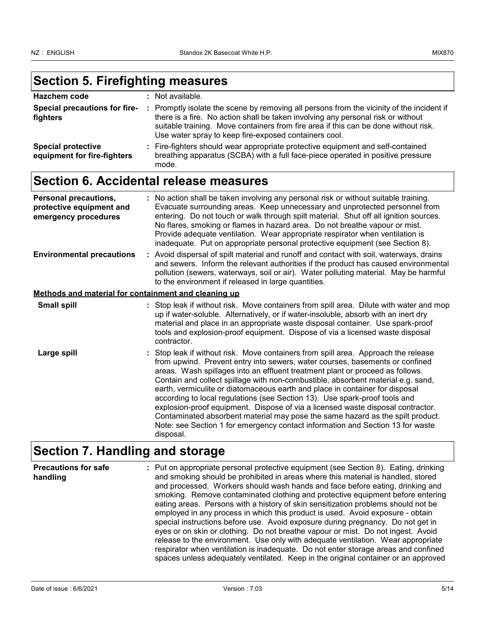## **Section 5. Firefighting measures**

| Hazchem code                                             | : Not available.                                                                                                                                                                                                                                                                                                              |
|----------------------------------------------------------|-------------------------------------------------------------------------------------------------------------------------------------------------------------------------------------------------------------------------------------------------------------------------------------------------------------------------------|
| Special precautions for fire-<br>fighters                | : Promptly isolate the scene by removing all persons from the vicinity of the incident if<br>there is a fire. No action shall be taken involving any personal risk or without<br>suitable training. Move containers from fire area if this can be done without risk.<br>Use water spray to keep fire-exposed containers cool. |
| <b>Special protective</b><br>equipment for fire-fighters | : Fire-fighters should wear appropriate protective equipment and self-contained<br>breathing apparatus (SCBA) with a full face-piece operated in positive pressure<br>mode.                                                                                                                                                   |

## **Section 6. Accidental release measures**

| <b>Personal precautions,</b><br>protective equipment and<br>emergency procedures | : No action shall be taken involving any personal risk or without suitable training.<br>Evacuate surrounding areas. Keep unnecessary and unprotected personnel from<br>entering. Do not touch or walk through spilt material. Shut off all ignition sources.<br>No flares, smoking or flames in hazard area. Do not breathe vapour or mist.<br>Provide adequate ventilation. Wear appropriate respirator when ventilation is<br>inadequate. Put on appropriate personal protective equipment (see Section 8).                                                                                                                                                                                                                                                             |
|----------------------------------------------------------------------------------|---------------------------------------------------------------------------------------------------------------------------------------------------------------------------------------------------------------------------------------------------------------------------------------------------------------------------------------------------------------------------------------------------------------------------------------------------------------------------------------------------------------------------------------------------------------------------------------------------------------------------------------------------------------------------------------------------------------------------------------------------------------------------|
| <b>Environmental precautions</b>                                                 | : Avoid dispersal of spilt material and runoff and contact with soil, waterways, drains<br>and sewers. Inform the relevant authorities if the product has caused environmental<br>pollution (sewers, waterways, soil or air). Water polluting material. May be harmful<br>to the environment if released in large quantities.                                                                                                                                                                                                                                                                                                                                                                                                                                             |
| Methods and material for containment and cleaning up                             |                                                                                                                                                                                                                                                                                                                                                                                                                                                                                                                                                                                                                                                                                                                                                                           |
| <b>Small spill</b>                                                               | : Stop leak if without risk. Move containers from spill area. Dilute with water and mop<br>up if water-soluble. Alternatively, or if water-insoluble, absorb with an inert dry<br>material and place in an appropriate waste disposal container. Use spark-proof<br>tools and explosion-proof equipment. Dispose of via a licensed waste disposal<br>contractor.                                                                                                                                                                                                                                                                                                                                                                                                          |
| Large spill                                                                      | : Stop leak if without risk. Move containers from spill area. Approach the release<br>from upwind. Prevent entry into sewers, water courses, basements or confined<br>areas. Wash spillages into an effluent treatment plant or proceed as follows.<br>Contain and collect spillage with non-combustible, absorbent material e.g. sand,<br>earth, vermiculite or diatomaceous earth and place in container for disposal<br>according to local regulations (see Section 13). Use spark-proof tools and<br>explosion-proof equipment. Dispose of via a licensed waste disposal contractor.<br>Contaminated absorbent material may pose the same hazard as the spilt product.<br>Note: see Section 1 for emergency contact information and Section 13 for waste<br>disposal. |

### **Section 7. Handling and storage**

**Precautions for safe handling** Put on appropriate personal protective equipment (see Section 8). Eating, drinking **:** and smoking should be prohibited in areas where this material is handled, stored and processed. Workers should wash hands and face before eating, drinking and smoking. Remove contaminated clothing and protective equipment before entering eating areas. Persons with a history of skin sensitization problems should not be employed in any process in which this product is used. Avoid exposure - obtain special instructions before use. Avoid exposure during pregnancy. Do not get in eyes or on skin or clothing. Do not breathe vapour or mist. Do not ingest. Avoid release to the environment. Use only with adequate ventilation. Wear appropriate respirator when ventilation is inadequate. Do not enter storage areas and confined spaces unless adequately ventilated. Keep in the original container or an approved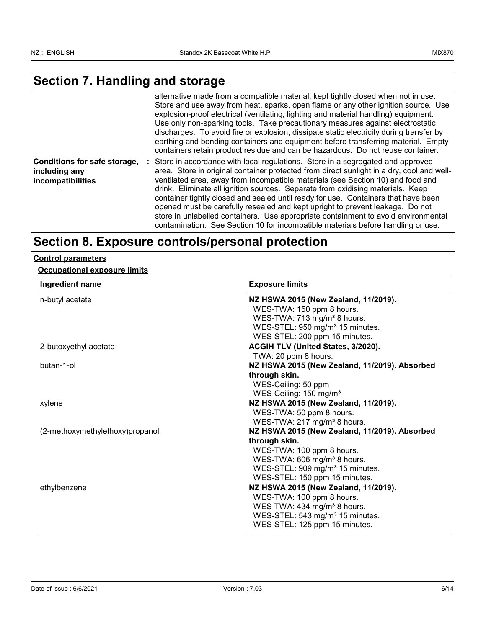## **Section 7. Handling and storage**

|                                                                    | alternative made from a compatible material, kept tightly closed when not in use.<br>Store and use away from heat, sparks, open flame or any other ignition source. Use<br>explosion-proof electrical (ventilating, lighting and material handling) equipment.<br>Use only non-sparking tools. Take precautionary measures against electrostatic<br>discharges. To avoid fire or explosion, dissipate static electricity during transfer by<br>earthing and bonding containers and equipment before transferring material. Empty<br>containers retain product residue and can be hazardous. Do not reuse container.                                                                                 |
|--------------------------------------------------------------------|-----------------------------------------------------------------------------------------------------------------------------------------------------------------------------------------------------------------------------------------------------------------------------------------------------------------------------------------------------------------------------------------------------------------------------------------------------------------------------------------------------------------------------------------------------------------------------------------------------------------------------------------------------------------------------------------------------|
| Conditions for safe storage,<br>including any<br>incompatibilities | : Store in accordance with local regulations. Store in a segregated and approved<br>area. Store in original container protected from direct sunlight in a dry, cool and well-<br>ventilated area, away from incompatible materials (see Section 10) and food and<br>drink. Eliminate all ignition sources. Separate from oxidising materials. Keep<br>container tightly closed and sealed until ready for use. Containers that have been<br>opened must be carefully resealed and kept upright to prevent leakage. Do not<br>store in unlabelled containers. Use appropriate containment to avoid environmental<br>contamination. See Section 10 for incompatible materials before handling or use. |

## **Section 8. Exposure controls/personal protection**

#### **Control parameters**

#### **Occupational exposure limits**

| Ingredient name                 | <b>Exposure limits</b>                                                                 |
|---------------------------------|----------------------------------------------------------------------------------------|
| n-butyl acetate                 | NZ HSWA 2015 (New Zealand, 11/2019).<br>WES-TWA: 150 ppm 8 hours.                      |
|                                 | WES-TWA: 713 mg/m <sup>3</sup> 8 hours.<br>WES-STEL: 950 mg/m <sup>3</sup> 15 minutes. |
|                                 | WES-STEL: 200 ppm 15 minutes.                                                          |
| 2-butoxyethyl acetate           | ACGIH TLV (United States, 3/2020).<br>TWA: 20 ppm 8 hours.                             |
| butan-1-ol                      | NZ HSWA 2015 (New Zealand, 11/2019). Absorbed                                          |
|                                 | through skin.                                                                          |
|                                 | WES-Ceiling: 50 ppm                                                                    |
| xylene                          | WES-Ceiling: 150 mg/m <sup>3</sup><br>NZ HSWA 2015 (New Zealand, 11/2019).             |
|                                 | WES-TWA: 50 ppm 8 hours.                                                               |
|                                 | WES-TWA: 217 mg/m <sup>3</sup> 8 hours.                                                |
| (2-methoxymethylethoxy)propanol | NZ HSWA 2015 (New Zealand, 11/2019). Absorbed                                          |
|                                 | through skin.<br>WES-TWA: 100 ppm 8 hours.                                             |
|                                 | WES-TWA: 606 mg/m <sup>3</sup> 8 hours.                                                |
|                                 | WES-STEL: 909 mg/m <sup>3</sup> 15 minutes.                                            |
|                                 | WES-STEL: 150 ppm 15 minutes.                                                          |
| ethylbenzene                    | NZ HSWA 2015 (New Zealand, 11/2019).                                                   |
|                                 | WES-TWA: 100 ppm 8 hours.<br>WES-TWA: 434 mg/m <sup>3</sup> 8 hours.                   |
|                                 | WES-STEL: 543 mg/m <sup>3</sup> 15 minutes.                                            |
|                                 | WES-STEL: 125 ppm 15 minutes.                                                          |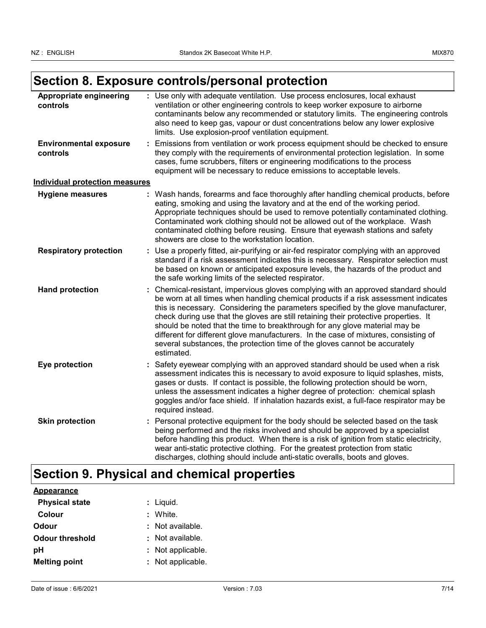## **Section 8. Exposure controls/personal protection**

| Appropriate engineering<br>controls       | : Use only with adequate ventilation. Use process enclosures, local exhaust<br>ventilation or other engineering controls to keep worker exposure to airborne<br>contaminants below any recommended or statutory limits. The engineering controls<br>also need to keep gas, vapour or dust concentrations below any lower explosive<br>limits. Use explosion-proof ventilation equipment.                                                                                                                                                                                                                                  |
|-------------------------------------------|---------------------------------------------------------------------------------------------------------------------------------------------------------------------------------------------------------------------------------------------------------------------------------------------------------------------------------------------------------------------------------------------------------------------------------------------------------------------------------------------------------------------------------------------------------------------------------------------------------------------------|
| <b>Environmental exposure</b><br>controls | Emissions from ventilation or work process equipment should be checked to ensure<br>they comply with the requirements of environmental protection legislation. In some<br>cases, fume scrubbers, filters or engineering modifications to the process<br>equipment will be necessary to reduce emissions to acceptable levels.                                                                                                                                                                                                                                                                                             |
| <b>Individual protection measures</b>     |                                                                                                                                                                                                                                                                                                                                                                                                                                                                                                                                                                                                                           |
| <b>Hygiene measures</b>                   | : Wash hands, forearms and face thoroughly after handling chemical products, before<br>eating, smoking and using the lavatory and at the end of the working period.<br>Appropriate techniques should be used to remove potentially contaminated clothing.<br>Contaminated work clothing should not be allowed out of the workplace. Wash<br>contaminated clothing before reusing. Ensure that eyewash stations and safety<br>showers are close to the workstation location.                                                                                                                                               |
| <b>Respiratory protection</b>             | : Use a properly fitted, air-purifying or air-fed respirator complying with an approved<br>standard if a risk assessment indicates this is necessary. Respirator selection must<br>be based on known or anticipated exposure levels, the hazards of the product and<br>the safe working limits of the selected respirator.                                                                                                                                                                                                                                                                                                |
| <b>Hand protection</b>                    | : Chemical-resistant, impervious gloves complying with an approved standard should<br>be worn at all times when handling chemical products if a risk assessment indicates<br>this is necessary. Considering the parameters specified by the glove manufacturer,<br>check during use that the gloves are still retaining their protective properties. It<br>should be noted that the time to breakthrough for any glove material may be<br>different for different glove manufacturers. In the case of mixtures, consisting of<br>several substances, the protection time of the gloves cannot be accurately<br>estimated. |
| Eye protection                            | Safety eyewear complying with an approved standard should be used when a risk<br>assessment indicates this is necessary to avoid exposure to liquid splashes, mists,<br>gases or dusts. If contact is possible, the following protection should be worn,<br>unless the assessment indicates a higher degree of protection: chemical splash<br>goggles and/or face shield. If inhalation hazards exist, a full-face respirator may be<br>required instead.                                                                                                                                                                 |
| <b>Skin protection</b>                    | Personal protective equipment for the body should be selected based on the task<br>being performed and the risks involved and should be approved by a specialist<br>before handling this product. When there is a risk of ignition from static electricity,<br>wear anti-static protective clothing. For the greatest protection from static<br>discharges, clothing should include anti-static overalls, boots and gloves.                                                                                                                                                                                               |

## **Section 9. Physical and chemical properties**

| <b>Appearance</b>      |                   |
|------------------------|-------------------|
| <b>Physical state</b>  | : Liquid.         |
| Colour                 | : White.          |
| Odour                  | : Not available.  |
| <b>Odour threshold</b> | : Not available.  |
| рH                     | : Not applicable. |
| <b>Melting point</b>   | : Not applicable. |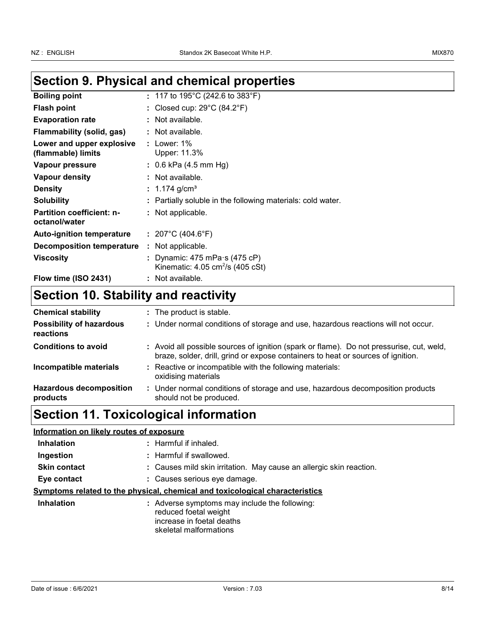## **Section 9. Physical and chemical properties**

| <b>Boiling point</b>                              | : 117 to 195°C (242.6 to 383°F)                                                       |
|---------------------------------------------------|---------------------------------------------------------------------------------------|
| <b>Flash point</b>                                | : Closed cup: 29°C (84.2°F)                                                           |
| <b>Evaporation rate</b>                           | : Not available.                                                                      |
| Flammability (solid, gas)                         | : Not available.                                                                      |
| Lower and upper explosive<br>(flammable) limits   | : Lower: $1\%$<br>Upper: 11.3%                                                        |
| Vapour pressure                                   | : $0.6$ kPa (4.5 mm Hg)                                                               |
| Vapour density                                    | : Not available.                                                                      |
| <b>Density</b>                                    | : 1.174 g/cm <sup>3</sup>                                                             |
| <b>Solubility</b>                                 | : Partially soluble in the following materials: cold water.                           |
| <b>Partition coefficient: n-</b><br>octanol/water | : Not applicable.                                                                     |
| <b>Auto-ignition temperature</b>                  | : $207^{\circ}$ C (404.6 $^{\circ}$ F)                                                |
| <b>Decomposition temperature</b>                  | : Not applicable.                                                                     |
| <b>Viscosity</b>                                  | : Dynamic: 475 mPa $\cdot$ s (475 cP)<br>Kinematic: 4.05 cm <sup>2</sup> /s (405 cSt) |
| Flow time (ISO 2431)                              | : Not available.                                                                      |

## **Section 10. Stability and reactivity**

| <b>Chemical stability</b>                    | : The product is stable.                                                                                                                                                     |
|----------------------------------------------|------------------------------------------------------------------------------------------------------------------------------------------------------------------------------|
| <b>Possibility of hazardous</b><br>reactions | : Under normal conditions of storage and use, hazardous reactions will not occur.                                                                                            |
| <b>Conditions to avoid</b>                   | : Avoid all possible sources of ignition (spark or flame). Do not pressurise, cut, weld,<br>braze, solder, drill, grind or expose containers to heat or sources of ignition. |
| Incompatible materials                       | : Reactive or incompatible with the following materials:<br>oxidising materials                                                                                              |
| <b>Hazardous decomposition</b><br>products   | : Under normal conditions of storage and use, hazardous decomposition products<br>should not be produced.                                                                    |

## **Section 11. Toxicological information**

| Information on likely routes of exposure |                                                                                                                               |
|------------------------------------------|-------------------------------------------------------------------------------------------------------------------------------|
| <b>Inhalation</b>                        | : Harmful if inhaled.                                                                                                         |
| Ingestion                                | : Harmful if swallowed.                                                                                                       |
| <b>Skin contact</b>                      | : Causes mild skin irritation. May cause an allergic skin reaction.                                                           |
| Eye contact                              | : Causes serious eye damage.                                                                                                  |
|                                          | Symptoms related to the physical, chemical and toxicological characteristics                                                  |
| <b>Inhalation</b>                        | : Adverse symptoms may include the following:<br>reduced foetal weight<br>increase in foetal deaths<br>skeletal malformations |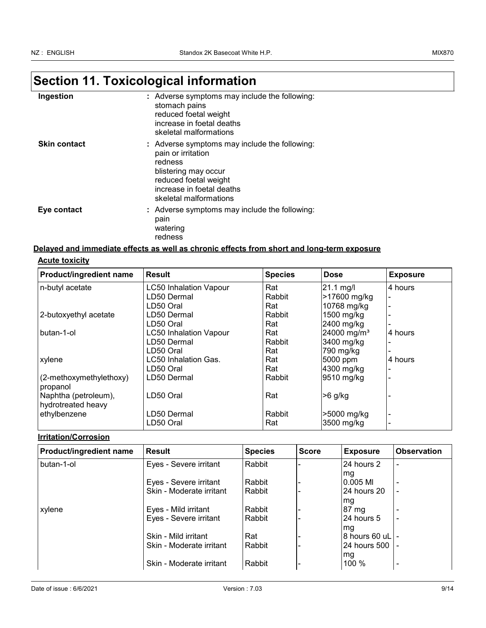# **Section 11. Toxicological information**

| Ingestion           | : Adverse symptoms may include the following:<br>stomach pains<br>reduced foetal weight<br>increase in foetal deaths<br>skeletal malformations                                         |
|---------------------|----------------------------------------------------------------------------------------------------------------------------------------------------------------------------------------|
| <b>Skin contact</b> | : Adverse symptoms may include the following:<br>pain or irritation<br>redness<br>blistering may occur<br>reduced foetal weight<br>increase in foetal deaths<br>skeletal malformations |
| Eye contact         | : Adverse symptoms may include the following:<br>pain<br>watering<br>redness                                                                                                           |

#### **Delayed and immediate effects as well as chronic effects from short and long-term exposure**

#### **Acute toxicity**

| Product/ingredient name                    | <b>Result</b>                 | <b>Species</b> | <b>Dose</b>             | <b>Exposure</b> |
|--------------------------------------------|-------------------------------|----------------|-------------------------|-----------------|
| n-butyl acetate                            | <b>LC50 Inhalation Vapour</b> | Rat            | $21.1$ mg/l             | 4 hours         |
|                                            | LD50 Dermal                   | Rabbit         | >17600 mg/kg            |                 |
|                                            | LD50 Oral                     | Rat            | 10768 mg/kg             |                 |
| 2-butoxyethyl acetate                      | LD50 Dermal                   | Rabbit         | 1500 mg/kg              |                 |
|                                            | LD50 Oral                     | Rat            | 2400 mg/kg              |                 |
| butan-1-ol                                 | <b>LC50 Inhalation Vapour</b> | Rat            | 24000 mg/m <sup>3</sup> | 4 hours         |
|                                            | LD50 Dermal                   | Rabbit         | 3400 mg/kg              |                 |
|                                            | LD50 Oral                     | Rat            | 790 mg/kg               |                 |
| xylene                                     | LC50 Inhalation Gas.          | Rat            | 5000 ppm                | 4 hours         |
|                                            | LD50 Oral                     | Rat            | 4300 mg/kg              |                 |
| (2-methoxymethylethoxy)<br>propanol        | LD50 Dermal                   | Rabbit         | 9510 mg/kg              |                 |
| Naphtha (petroleum),<br>hydrotreated heavy | LD50 Oral                     | Rat            | $>6$ g/kg               |                 |
| ethylbenzene                               | LD50 Dermal                   | Rabbit         | >5000 mg/kg             |                 |
|                                            | LD50 Oral                     | Rat            | 3500 mg/kg              |                 |

#### **Irritation/Corrosion**

| <b>Product/ingredient name</b> | Result                   | <b>Species</b> | <b>Score</b> | <b>Exposure</b>  | <b>Observation</b> |
|--------------------------------|--------------------------|----------------|--------------|------------------|--------------------|
| butan-1-ol                     | Eyes - Severe irritant   | Rabbit         |              | 24 hours 2       |                    |
|                                |                          |                |              | mg               |                    |
|                                | Eyes - Severe irritant   | Rabbit         |              | 0.005 MI         |                    |
|                                | Skin - Moderate irritant | Rabbit         |              | 24 hours 20      |                    |
|                                |                          |                |              | mg               |                    |
| xylene                         | Eyes - Mild irritant     | Rabbit         |              | 87 mg            |                    |
|                                | Eyes - Severe irritant   | Rabbit         |              | l24 hours 5      |                    |
|                                |                          |                |              | lmg              |                    |
|                                | Skin - Mild irritant     | Rat            |              | 8 hours 60 uL -  |                    |
|                                | Skin - Moderate irritant | Rabbit         |              | 24 hours 500 l - |                    |
|                                |                          |                |              | mg               |                    |
|                                | Skin - Moderate irritant | Rabbit         |              | 100 %            |                    |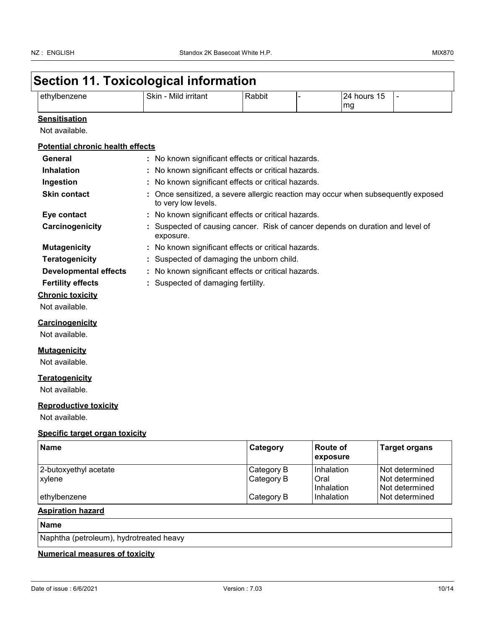| ethylbenzene                            | Skin - Mild irritant                                                                                     | Rabbit     |                             | 24 hours 15    | $\overline{\phantom{0}}$ |  |
|-----------------------------------------|----------------------------------------------------------------------------------------------------------|------------|-----------------------------|----------------|--------------------------|--|
|                                         |                                                                                                          |            | mg                          |                |                          |  |
| <b>Sensitisation</b>                    |                                                                                                          |            |                             |                |                          |  |
| Not available.                          |                                                                                                          |            |                             |                |                          |  |
| <b>Potential chronic health effects</b> |                                                                                                          |            |                             |                |                          |  |
| General                                 | : No known significant effects or critical hazards.                                                      |            |                             |                |                          |  |
| <b>Inhalation</b>                       | : No known significant effects or critical hazards.                                                      |            |                             |                |                          |  |
| Ingestion                               | : No known significant effects or critical hazards.                                                      |            |                             |                |                          |  |
| <b>Skin contact</b>                     | : Once sensitized, a severe allergic reaction may occur when subsequently exposed<br>to very low levels. |            |                             |                |                          |  |
| Eye contact                             | : No known significant effects or critical hazards.                                                      |            |                             |                |                          |  |
| Carcinogenicity                         | : Suspected of causing cancer. Risk of cancer depends on duration and level of<br>exposure.              |            |                             |                |                          |  |
| <b>Mutagenicity</b>                     | : No known significant effects or critical hazards.                                                      |            |                             |                |                          |  |
| <b>Teratogenicity</b>                   | : Suspected of damaging the unborn child.                                                                |            |                             |                |                          |  |
| <b>Developmental effects</b>            | : No known significant effects or critical hazards.                                                      |            |                             |                |                          |  |
| <b>Fertility effects</b>                | : Suspected of damaging fertility.                                                                       |            |                             |                |                          |  |
| <b>Chronic toxicity</b>                 |                                                                                                          |            |                             |                |                          |  |
| Not available.                          |                                                                                                          |            |                             |                |                          |  |
| Carcinogenicity                         |                                                                                                          |            |                             |                |                          |  |
| Not available.                          |                                                                                                          |            |                             |                |                          |  |
| <b>Mutagenicity</b>                     |                                                                                                          |            |                             |                |                          |  |
| Not available.                          |                                                                                                          |            |                             |                |                          |  |
| <b>Teratogenicity</b>                   |                                                                                                          |            |                             |                |                          |  |
| Not available.                          |                                                                                                          |            |                             |                |                          |  |
| <b>Reproductive toxicity</b>            |                                                                                                          |            |                             |                |                          |  |
| Not available.                          |                                                                                                          |            |                             |                |                          |  |
| Specific target organ toxicity          |                                                                                                          |            |                             |                |                          |  |
| <b>Name</b>                             |                                                                                                          | Category   | <b>Route of</b><br>exposure |                | <b>Target organs</b>     |  |
| 2-butoxyethyl acetate                   |                                                                                                          | Category B | Inhalation                  |                | Not determined           |  |
| xylene                                  |                                                                                                          | Category B | Oral                        |                | Not determined           |  |
|                                         |                                                                                                          |            | Inhalation                  | Not determined | Not determined           |  |

#### **Aspiration hazard**

### **Name**

Naphtha (petroleum), hydrotreated heavy

#### **Numerical measures of toxicity**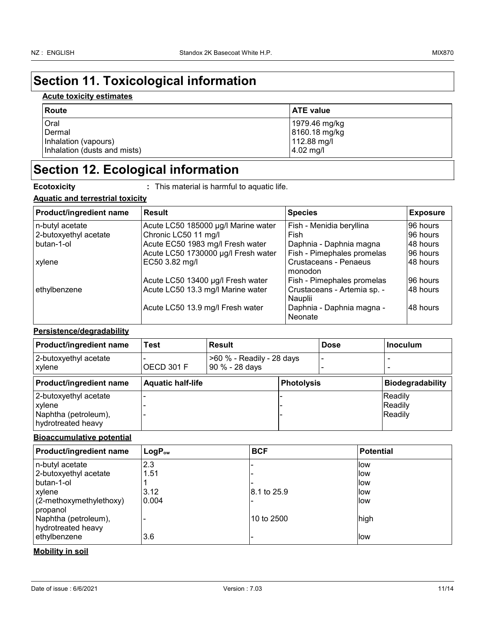## **Section 11. Toxicological information**

#### **Acute toxicity estimates**

| Route                        | <b>ATE value</b> |
|------------------------------|------------------|
| Oral                         | 1979.46 mg/kg    |
| Dermal                       | 8160.18 mg/kg    |
| Inhalation (vapours)         | 112.88 mg/l      |
| Inhalation (dusts and mists) | $4.02$ mg/l      |

## **Section 12. Ecological information**

**Ecotoxicity :** This material is harmful to aquatic life.

#### **Aquatic and terrestrial toxicity**

| <b>Product/ingredient name</b> | <b>Result</b>                       | <b>Species</b>                         | <b>Exposure</b> |
|--------------------------------|-------------------------------------|----------------------------------------|-----------------|
| n-butyl acetate                | Acute LC50 185000 µg/l Marine water | Fish - Menidia beryllina               | 96 hours        |
| 2-butoxyethyl acetate          | Chronic LC50 11 mg/l                | Fish                                   | 96 hours        |
| butan-1-ol                     | Acute EC50 1983 mg/l Fresh water    | Daphnia - Daphnia magna                | 48 hours        |
|                                | Acute LC50 1730000 µg/l Fresh water | Fish - Pimephales promelas             | 96 hours        |
| xylene                         | EC50 3.82 mg/l                      | Crustaceans - Penaeus<br>monodon       | 148 hours       |
|                                | Acute LC50 13400 µg/l Fresh water   | Fish - Pimephales promelas             | 96 hours        |
| ethylbenzene                   | Acute LC50 13.3 mg/l Marine water   | Crustaceans - Artemia sp. -<br>Nauplii | 48 hours        |
|                                | Acute LC50 13.9 mg/l Fresh water    | Daphnia - Daphnia magna -<br>Neonate   | 48 hours        |

#### **Persistence/degradability**

| <b>Product/ingredient name</b>                                                       | Test                     | Result                                      |                   | <b>Dose</b> | <b>Inoculum</b>               |
|--------------------------------------------------------------------------------------|--------------------------|---------------------------------------------|-------------------|-------------|-------------------------------|
| 2-butoxyethyl acetate<br><b>xylene</b>                                               | OECD 301 F               | >60 % - Readily - 28 days<br>90 % - 28 days |                   | ۰           |                               |
| <b>Product/ingredient name</b>                                                       | <b>Aquatic half-life</b> |                                             | <b>Photolysis</b> |             | <b>Biodegradability</b>       |
| 2-butoxyethyl acetate<br><b>xylene</b><br>Naphtha (petroleum),<br>hydrotreated heavy |                          |                                             |                   |             | Readily<br>Readily<br>Readily |

#### **Bioaccumulative potential**

| <b>Product/ingredient name</b>                         | $LogP_{ow}$ | <b>BCF</b>  | <b>Potential</b> |
|--------------------------------------------------------|-------------|-------------|------------------|
| n-butyl acetate                                        | 2.3         |             | llow             |
| 2-butoxyethyl acetate                                  | 1.51        |             | llow             |
| butan-1-ol                                             |             |             | llow             |
| xylene                                                 | 3.12        | 8.1 to 25.9 | llow             |
| $(2$ -methoxymethylethoxy)                             | 0.004       |             | <b>llow</b>      |
| propanol<br>Naphtha (petroleum),<br>hydrotreated heavy |             | 10 to 2500  | high             |
| ethylbenzene                                           | 3.6         |             | llow             |

#### **Mobility in soil**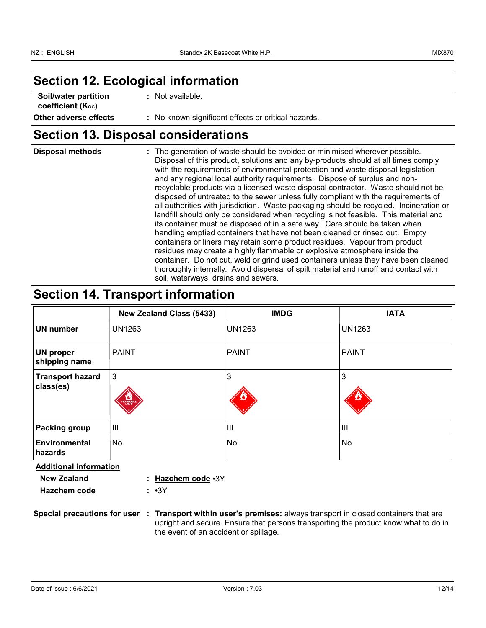## **Section 12. Ecological information**

| Soil/water partition           | : Not available.                                    |
|--------------------------------|-----------------------------------------------------|
| coefficient (K <sub>oc</sub> ) |                                                     |
| Other adverse effects          | : No known significant effects or critical hazards. |

## **Section 13. Disposal considerations**

| <b>Disposal methods</b> | : The generation of waste should be avoided or minimised wherever possible.<br>Disposal of this product, solutions and any by-products should at all times comply<br>with the requirements of environmental protection and waste disposal legislation<br>and any regional local authority requirements. Dispose of surplus and non-<br>recyclable products via a licensed waste disposal contractor. Waste should not be<br>disposed of untreated to the sewer unless fully compliant with the requirements of<br>all authorities with jurisdiction. Waste packaging should be recycled. Incineration or<br>landfill should only be considered when recycling is not feasible. This material and<br>its container must be disposed of in a safe way. Care should be taken when<br>handling emptied containers that have not been cleaned or rinsed out. Empty<br>containers or liners may retain some product residues. Vapour from product<br>residues may create a highly flammable or explosive atmosphere inside the<br>container. Do not cut, weld or grind used containers unless they have been cleaned |
|-------------------------|----------------------------------------------------------------------------------------------------------------------------------------------------------------------------------------------------------------------------------------------------------------------------------------------------------------------------------------------------------------------------------------------------------------------------------------------------------------------------------------------------------------------------------------------------------------------------------------------------------------------------------------------------------------------------------------------------------------------------------------------------------------------------------------------------------------------------------------------------------------------------------------------------------------------------------------------------------------------------------------------------------------------------------------------------------------------------------------------------------------|
|                         | thoroughly internally. Avoid dispersal of spilt material and runoff and contact with<br>soil, waterways, drains and sewers.                                                                                                                                                                                                                                                                                                                                                                                                                                                                                                                                                                                                                                                                                                                                                                                                                                                                                                                                                                                    |

## **Section 14. Transport information**

|                                      | <b>New Zealand Class (5433)</b> | <b>IMDG</b>   | <b>IATA</b>    |
|--------------------------------------|---------------------------------|---------------|----------------|
| <b>UN number</b>                     | <b>UN1263</b>                   | <b>UN1263</b> | <b>UN1263</b>  |
| <b>UN proper</b><br>shipping name    | <b>PAINT</b>                    | <b>PAINT</b>  | <b>PAINT</b>   |
| <b>Transport hazard</b><br>class(es) | 3<br>FLAMMABLE                  | 3             | 3              |
| <b>Packing group</b>                 | Ш                               | III           | $\mathbf{III}$ |
| <b>Environmental</b><br>hazards      | No.                             | No.           | No.            |

**Additional information**

| New Zealand         | : Hazchem code ·3Y |
|---------------------|--------------------|
| <b>Hazchem code</b> | ∴ •3Y              |

**Special precautions for user Transport within user's premises:** always transport in closed containers that are **:** upright and secure. Ensure that persons transporting the product know what to do in the event of an accident or spillage.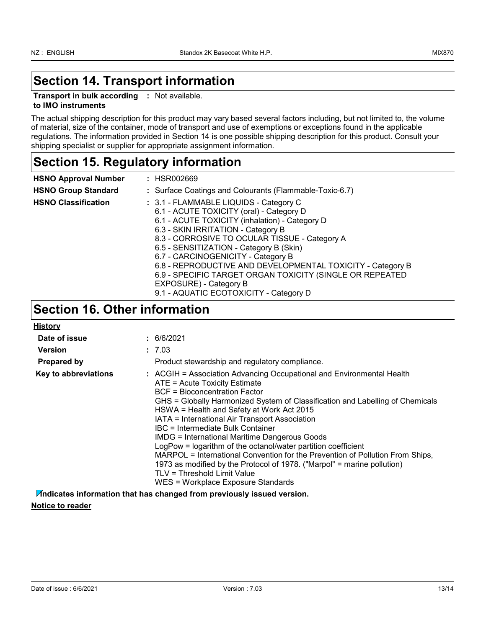## **Section 14. Transport information**

**Transport in bulk according :** Not available.

#### **to IMO instruments**

The actual shipping description for this product may vary based several factors including, but not limited to, the volume of material, size of the container, mode of transport and use of exemptions or exceptions found in the applicable regulations. The information provided in Section 14 is one possible shipping description for this product. Consult your shipping specialist or supplier for appropriate assignment information.

## **Section 15. Regulatory information**

| <b>HSNO Approval Number</b> | : HSR002669                                                                                                                                                                                                                                                                                                                                                                                                                                                      |
|-----------------------------|------------------------------------------------------------------------------------------------------------------------------------------------------------------------------------------------------------------------------------------------------------------------------------------------------------------------------------------------------------------------------------------------------------------------------------------------------------------|
| <b>HSNO Group Standard</b>  | : Surface Coatings and Colourants (Flammable-Toxic-6.7)                                                                                                                                                                                                                                                                                                                                                                                                          |
| <b>HSNO Classification</b>  | : 3.1 - FLAMMABLE LIQUIDS - Category C<br>6.1 - ACUTE TOXICITY (oral) - Category D<br>6.1 - ACUTE TOXICITY (inhalation) - Category D<br>6.3 - SKIN IRRITATION - Category B<br>8.3 - CORROSIVE TO OCULAR TISSUE - Category A<br>6.5 - SENSITIZATION - Category B (Skin)<br>6.7 - CARCINOGENICITY - Category B<br>6.8 - REPRODUCTIVE AND DEVELOPMENTAL TOXICITY - Category B<br>6.9 - SPECIFIC TARGET ORGAN TOXICITY (SINGLE OR REPEATED<br>EXPOSURE) - Category B |
|                             | $\lambda$ $\lambda$ is the example of $\lambda$ is the example of $\lambda$                                                                                                                                                                                                                                                                                                                                                                                      |

## 9.1 - AQUATIC ECOTOXICITY - Category D

### **Section 16. Other information**

| <b>History</b>       |                                                                                                                                                                                                                                                                                                                                                                                                                                                                                                                                                                                                                                                                                                                        |
|----------------------|------------------------------------------------------------------------------------------------------------------------------------------------------------------------------------------------------------------------------------------------------------------------------------------------------------------------------------------------------------------------------------------------------------------------------------------------------------------------------------------------------------------------------------------------------------------------------------------------------------------------------------------------------------------------------------------------------------------------|
| Date of issue        | : 6/6/2021                                                                                                                                                                                                                                                                                                                                                                                                                                                                                                                                                                                                                                                                                                             |
| Version              | : 7.03                                                                                                                                                                                                                                                                                                                                                                                                                                                                                                                                                                                                                                                                                                                 |
| Prepared by          | Product stewardship and regulatory compliance.                                                                                                                                                                                                                                                                                                                                                                                                                                                                                                                                                                                                                                                                         |
| Key to abbreviations | : ACGIH = Association Advancing Occupational and Environmental Health<br>ATE = Acute Toxicity Estimate<br>BCF = Bioconcentration Factor<br>GHS = Globally Harmonized System of Classification and Labelling of Chemicals<br>HSWA = Health and Safety at Work Act 2015<br>IATA = International Air Transport Association<br>IBC = Intermediate Bulk Container<br><b>IMDG = International Maritime Dangerous Goods</b><br>LogPow = logarithm of the octanol/water partition coefficient<br>MARPOL = International Convention for the Prevention of Pollution From Ships,<br>1973 as modified by the Protocol of 1978. ("Marpol" = marine pollution)<br>TLV = Threshold Limit Value<br>WES = Workplace Exposure Standards |

**Indicates information that has changed from previously issued version. Notice to reader**